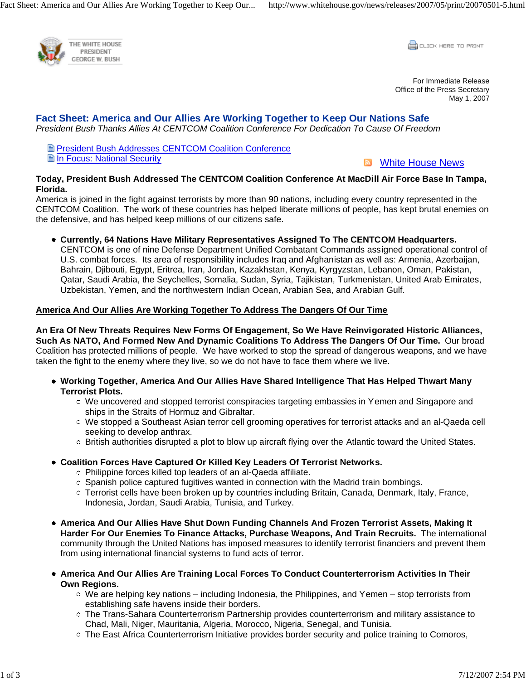

**CLICK HERE TO PRINT** 

For Immediate Release Office of the Press Secretary May 1, 2007

# **Fact Sheet: America and Our Allies Are Working Together to Keep Our Nations Safe**

*President Bush Thanks Allies At CENTCOM Coalition Conference For Dedication To Cause Of Freedom*

**E** President Bush Addresses CENTCOM Coalition Conference **Elln Focus: National Security** 

**No. White House News** 

### **Today, President Bush Addressed The CENTCOM Coalition Conference At MacDill Air Force Base In Tampa, Florida.**

America is joined in the fight against terrorists by more than 90 nations, including every country represented in the CENTCOM Coalition. The work of these countries has helped liberate millions of people, has kept brutal enemies on the defensive, and has helped keep millions of our citizens safe.

**Currently, 64 Nations Have Military Representatives Assigned To The CENTCOM Headquarters.**  CENTCOM is one of nine Defense Department Unified Combatant Commands assigned operational control of U.S. combat forces. Its area of responsibility includes Iraq and Afghanistan as well as: Armenia, Azerbaijan, Bahrain, Djibouti, Egypt, Eritrea, Iran, Jordan, Kazakhstan, Kenya, Kyrgyzstan, Lebanon, Oman, Pakistan, Qatar, Saudi Arabia, the Seychelles, Somalia, Sudan, Syria, Tajikistan, Turkmenistan, United Arab Emirates, Uzbekistan, Yemen, and the northwestern Indian Ocean, Arabian Sea, and Arabian Gulf.

## **America And Our Allies Are Working Together To Address The Dangers Of Our Time**

**An Era Of New Threats Requires New Forms Of Engagement, So We Have Reinvigorated Historic Alliances, Such As NATO, And Formed New And Dynamic Coalitions To Address The Dangers Of Our Time.** Our broad Coalition has protected millions of people. We have worked to stop the spread of dangerous weapons, and we have taken the fight to the enemy where they live, so we do not have to face them where we live.

- **Working Together, America And Our Allies Have Shared Intelligence That Has Helped Thwart Many Terrorist Plots.**
	- We uncovered and stopped terrorist conspiracies targeting embassies in Yemen and Singapore and ships in the Straits of Hormuz and Gibraltar.
	- We stopped a Southeast Asian terror cell grooming operatives for terrorist attacks and an al-Qaeda cell seeking to develop anthrax.
	- o British authorities disrupted a plot to blow up aircraft flying over the Atlantic toward the United States.
- **Coalition Forces Have Captured Or Killed Key Leaders Of Terrorist Networks.**
	- Philippine forces killed top leaders of an al-Qaeda affiliate.
	- $\circ$  Spanish police captured fugitives wanted in connection with the Madrid train bombings.
	- Terrorist cells have been broken up by countries including Britain, Canada, Denmark, Italy, France, Indonesia, Jordan, Saudi Arabia, Tunisia, and Turkey.
- **America And Our Allies Have Shut Down Funding Channels And Frozen Terrorist Assets, Making It Harder For Our Enemies To Finance Attacks, Purchase Weapons, And Train Recruits.** The international community through the United Nations has imposed measures to identify terrorist financiers and prevent them from using international financial systems to fund acts of terror.
- **America And Our Allies Are Training Local Forces To Conduct Counterterrorism Activities In Their Own Regions.**
	- $\circ$  We are helping key nations including Indonesia, the Philippines, and Yemen stop terrorists from establishing safe havens inside their borders.
	- o The Trans-Sahara Counterterrorism Partnership provides counterterrorism and military assistance to Chad, Mali, Niger, Mauritania, Algeria, Morocco, Nigeria, Senegal, and Tunisia.
	- $\circ$  The East Africa Counterterrorism Initiative provides border security and police training to Comoros,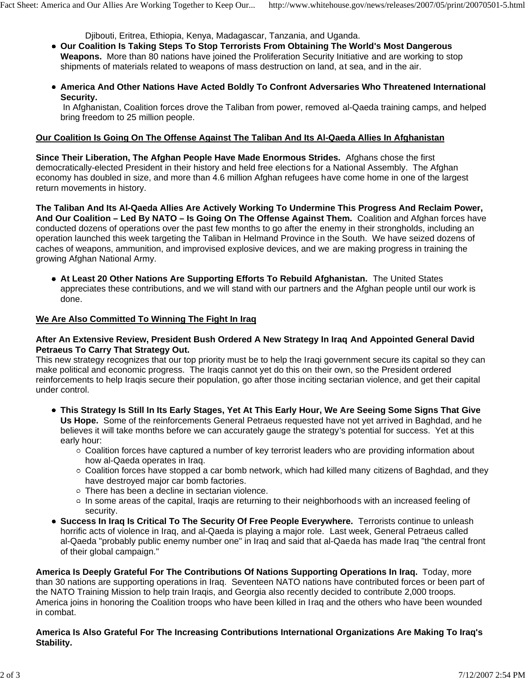Djibouti, Eritrea, Ethiopia, Kenya, Madagascar, Tanzania, and Uganda.

- **Our Coalition Is Taking Steps To Stop Terrorists From Obtaining The World's Most Dangerous Weapons.** More than 80 nations have joined the Proliferation Security Initiative and are working to stop shipments of materials related to weapons of mass destruction on land, at sea, and in the air.
- **America And Other Nations Have Acted Boldly To Confront Adversaries Who Threatened International Security.**

 In Afghanistan, Coalition forces drove the Taliban from power, removed al-Qaeda training camps, and helped bring freedom to 25 million people.

#### **Our Coalition Is Going On The Offense Against The Taliban And Its Al-Qaeda Allies In Afghanistan**

**Since Their Liberation, The Afghan People Have Made Enormous Strides.** Afghans chose the first democratically-elected President in their history and held free elections for a National Assembly. The Afghan economy has doubled in size, and more than 4.6 million Afghan refugees have come home in one of the largest return movements in history.

**The Taliban And Its Al-Qaeda Allies Are Actively Working To Undermine This Progress And Reclaim Power, And Our Coalition – Led By NATO – Is Going On The Offense Against Them.** Coalition and Afghan forces have conducted dozens of operations over the past few months to go after the enemy in their strongholds, including an operation launched this week targeting the Taliban in Helmand Province in the South. We have seized dozens of caches of weapons, ammunition, and improvised explosive devices, and we are making progress in training the growing Afghan National Army.

**At Least 20 Other Nations Are Supporting Efforts To Rebuild Afghanistan.** The United States appreciates these contributions, and we will stand with our partners and the Afghan people until our work is done.

#### **We Are Also Committed To Winning The Fight In Iraq**

#### **After An Extensive Review, President Bush Ordered A New Strategy In Iraq And Appointed General David Petraeus To Carry That Strategy Out.**

This new strategy recognizes that our top priority must be to help the Iraqi government secure its capital so they can make political and economic progress. The Iraqis cannot yet do this on their own, so the President ordered reinforcements to help Iraqis secure their population, go after those inciting sectarian violence, and get their capital under control.

- **This Strategy Is Still In Its Early Stages, Yet At This Early Hour, We Are Seeing Some Signs That Give Us Hope.** Some of the reinforcements General Petraeus requested have not yet arrived in Baghdad, and he believes it will take months before we can accurately gauge the strategy's potential for success. Yet at this early hour:
	- $\circ$  Coalition forces have captured a number of key terrorist leaders who are providing information about how al-Qaeda operates in Iraq.
	- $\circ$  Coalition forces have stopped a car bomb network, which had killed many citizens of Baghdad, and they have destroyed major car bomb factories.
	- There has been a decline in sectarian violence.
	- $\circ$  In some areas of the capital, Iraqis are returning to their neighborhoods with an increased feeling of security.
- **Success In Iraq Is Critical To The Security Of Free People Everywhere.** Terrorists continue to unleash horrific acts of violence in Iraq, and al-Qaeda is playing a major role. Last week, General Petraeus called al-Qaeda "probably public enemy number one" in Iraq and said that al-Qaeda has made Iraq "the central front of their global campaign."

**America Is Deeply Grateful For The Contributions Of Nations Supporting Operations In Iraq.** Today, more than 30 nations are supporting operations in Iraq. Seventeen NATO nations have contributed forces or been part of the NATO Training Mission to help train Iraqis, and Georgia also recently decided to contribute 2,000 troops. America joins in honoring the Coalition troops who have been killed in Iraq and the others who have been wounded in combat.

#### **America Is Also Grateful For The Increasing Contributions International Organizations Are Making To Iraq's Stability.**